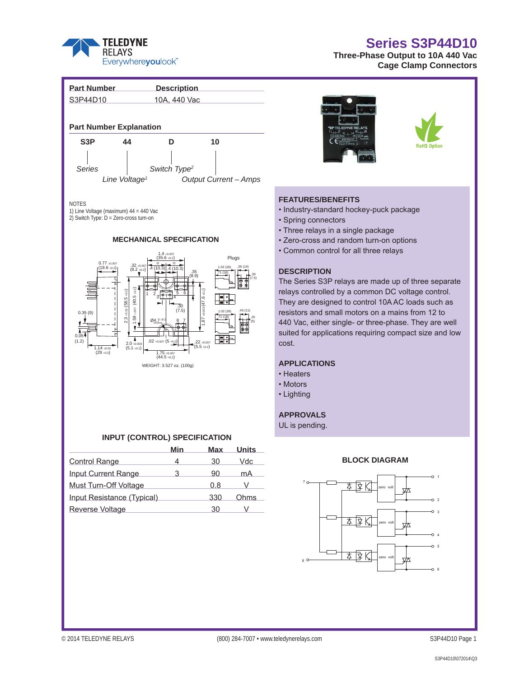

# **Series S3P44D10**

**Three-Phase Output to 10A 440 Vac Cage Clamp Connectors**



## **INPUT (CONTROL) SPECIFICATION**

|                            | Min | Max | <b>Units</b> |
|----------------------------|-----|-----|--------------|
| <b>Control Range</b>       |     | 30  | Vdc.         |
| <b>Input Current Range</b> | З   | 90  | mA           |
| Must Turn-Off Voltage      |     | 0.8 |              |
| Input Resistance (Typical) |     | 330 | Ohms         |
| <b>Reverse Voltage</b>     |     | 30  |              |
|                            |     |     |              |



### **FEATURES/BENEFITS**

- Industry-standard hockey-puck package
- Spring connectors
- Three relays in a single package
- Zero-cross and random turn-on options
- Common control for all three relays

## **DESCRIPTION**

The Series S3P relays are made up of three separate relays controlled by a common DC voltage control. They are designed to control 10A AC loads such as resistors and small motors on a mains from 12 to 440 Vac, either single- or three-phase. They are well suited for applications requiring compact size and low

## **APPLICATIONS**

- 
- Motors
- Lighting

## **APPROVALS**

UL is pending.

## **BLOCK DIAGRAM**